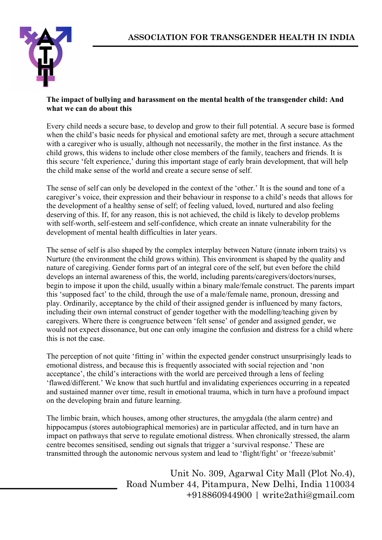

## **The impact of bullying and harassment on the mental health of the transgender child: And what we can do about this**

Every child needs a secure base, to develop and grow to their full potential. A secure base is formed when the child's basic needs for physical and emotional safety are met, through a secure attachment with a caregiver who is usually, although not necessarily, the mother in the first instance. As the child grows, this widens to include other close members of the family, teachers and friends. It is this secure 'felt experience,' during this important stage of early brain development, that will help the child make sense of the world and create a secure sense of self.

The sense of self can only be developed in the context of the 'other.' It is the sound and tone of a caregiver's voice, their expression and their behaviour in response to a child's needs that allows for the development of a healthy sense of self; of feeling valued, loved, nurtured and also feeling deserving of this. If, for any reason, this is not achieved, the child is likely to develop problems with self-worth, self-esteem and self-confidence, which create an innate vulnerability for the development of mental health difficulties in later years.

The sense of self is also shaped by the complex interplay between Nature (innate inborn traits) vs Nurture (the environment the child grows within). This environment is shaped by the quality and nature of caregiving. Gender forms part of an integral core of the self, but even before the child develops an internal awareness of this, the world, including parents/caregivers/doctors/nurses, begin to impose it upon the child, usually within a binary male/female construct. The parents impart this 'supposed fact' to the child, through the use of a male/female name, pronoun, dressing and play. Ordinarily, acceptance by the child of their assigned gender is influenced by many factors, including their own internal construct of gender together with the modelling/teaching given by caregivers. Where there is congruence between 'felt sense' of gender and assigned gender, we would not expect dissonance, but one can only imagine the confusion and distress for a child where this is not the case.

The perception of not quite 'fitting in' within the expected gender construct unsurprisingly leads to emotional distress, and because this is frequently associated with social rejection and 'non acceptance', the child's interactions with the world are perceived through a lens of feeling 'flawed/different.' We know that such hurtful and invalidating experiences occurring in a repeated and sustained manner over time, result in emotional trauma, which in turn have a profound impact on the developing brain and future learning.

The limbic brain, which houses, among other structures, the amygdala (the alarm centre) and hippocampus (stores autobiographical memories) are in particular affected, and in turn have an impact on pathways that serve to regulate emotional distress. When chronically stressed, the alarm centre becomes sensitised, sending out signals that trigger a 'survival response.' These are transmitted through the autonomic nervous system and lead to 'flight/fight' or 'freeze/submit'

> Unit No. 309, Agarwal City Mall (Plot No.4), Road Number 44, Pitampura, New Delhi, India 110034 +918860944900 | write2athi@gmail.com